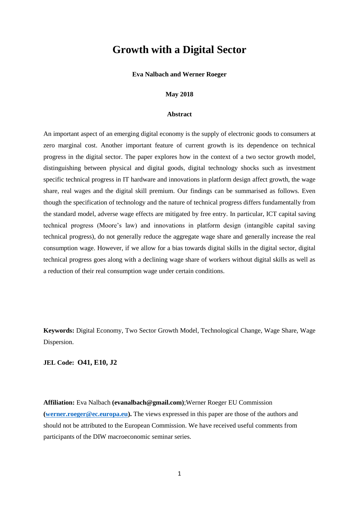# **Growth with a Digital Sector**

### **Eva Nalbach and Werner Roeger**

### **May 2018**

### **Abstract**

An important aspect of an emerging digital economy is the supply of electronic goods to consumers at zero marginal cost. Another important feature of current growth is its dependence on technical progress in the digital sector. The paper explores how in the context of a two sector growth model, distinguishing between physical and digital goods, digital technology shocks such as investment specific technical progress in IT hardware and innovations in platform design affect growth, the wage share, real wages and the digital skill premium. Our findings can be summarised as follows. Even though the specification of technology and the nature of technical progress differs fundamentally from the standard model, adverse wage effects are mitigated by free entry. In particular, ICT capital saving technical progress (Moore's law) and innovations in platform design (intangible capital saving technical progress), do not generally reduce the aggregate wage share and generally increase the real consumption wage. However, if we allow for a bias towards digital skills in the digital sector, digital technical progress goes along with a declining wage share of workers without digital skills as well as a reduction of their real consumption wage under certain conditions.

**Keywords:** Digital Economy, Two Sector Growth Model, Technological Change, Wage Share, Wage Dispersion.

# **JEL Code: O41, E10, J2**

**Affiliation:** Eva Nalbach **(evanalbach@gmail.com)**;Werner Roeger EU Commission **[\(werner.roeger@ec.europa.eu\)](mailto:werner.roeger@ec.europa.eu).** The views expressed in this paper are those of the authors and should not be attributed to the European Commission. We have received useful comments from participants of the DIW macroeconomic seminar series.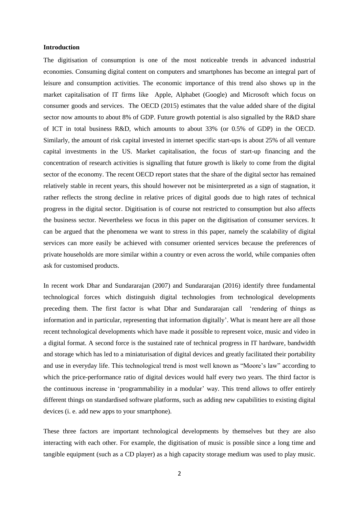### **Introduction**

The digitisation of consumption is one of the most noticeable trends in advanced industrial economies. Consuming digital content on computers and smartphones has become an integral part of leisure and consumption activities. The economic importance of this trend also shows up in the market capitalisation of IT firms like Apple, Alphabet (Google) and Microsoft which focus on consumer goods and services. The OECD (2015) estimates that the value added share of the digital sector now amounts to about 8% of GDP. Future growth potential is also signalled by the R&D share of ICT in total business R&D, which amounts to about 33% (or 0.5% of GDP) in the OECD. Similarly, the amount of risk capital invested in internet specific start-ups is about 25% of all venture capital investments in the US. Market capitalisation, the focus of start-up financing and the concentration of research activities is signalling that future growth is likely to come from the digital sector of the economy. The recent OECD report states that the share of the digital sector has remained relatively stable in recent years, this should however not be misinterpreted as a sign of stagnation, it rather reflects the strong decline in relative prices of digital goods due to high rates of technical progress in the digital sector. Digitisation is of course not restricted to consumption but also affects the business sector. Nevertheless we focus in this paper on the digitisation of consumer services. It can be argued that the phenomena we want to stress in this paper, namely the scalability of digital services can more easily be achieved with consumer oriented services because the preferences of private households are more similar within a country or even across the world, while companies often ask for customised products.

In recent work Dhar and Sundararajan (2007) and Sundararajan (2016) identify three fundamental technological forces which distinguish digital technologies from technological developments preceding them. The first factor is what Dhar and Sundararajan call 'rendering of things as information and in particular, representing that information digitally'. What is meant here are all those recent technological developments which have made it possible to represent voice, music and video in a digital format. A second force is the sustained rate of technical progress in IT hardware, bandwidth and storage which has led to a miniaturisation of digital devices and greatly facilitated their portability and use in everyday life. This technological trend is most well known as "Moore's law" according to which the price-performance ratio of digital devices would half every two years. The third factor is the continuous increase in 'programmability in a modular' way. This trend allows to offer entirely different things on standardised software platforms, such as adding new capabilities to existing digital devices (i. e. add new apps to your smartphone).

These three factors are important technological developments by themselves but they are also interacting with each other. For example, the digitisation of music is possible since a long time and tangible equipment (such as a CD player) as a high capacity storage medium was used to play music.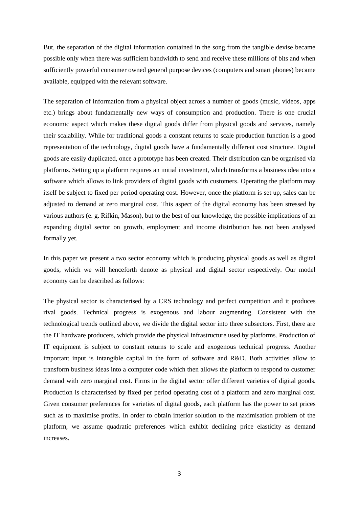But, the separation of the digital information contained in the song from the tangible devise became possible only when there was sufficient bandwidth to send and receive these millions of bits and when sufficiently powerful consumer owned general purpose devices (computers and smart phones) became available, equipped with the relevant software.

The separation of information from a physical object across a number of goods (music, videos, apps etc.) brings about fundamentally new ways of consumption and production. There is one crucial economic aspect which makes these digital goods differ from physical goods and services, namely their scalability. While for traditional goods a constant returns to scale production function is a good representation of the technology, digital goods have a fundamentally different cost structure. Digital goods are easily duplicated, once a prototype has been created. Their distribution can be organised via platforms. Setting up a platform requires an initial investment, which transforms a business idea into a software which allows to link providers of digital goods with customers. Operating the platform may itself be subject to fixed per period operating cost. However, once the platform is set up, sales can be adjusted to demand at zero marginal cost. This aspect of the digital economy has been stressed by various authors (e. g. Rifkin, Mason), but to the best of our knowledge, the possible implications of an expanding digital sector on growth, employment and income distribution has not been analysed formally yet.

In this paper we present a two sector economy which is producing physical goods as well as digital goods, which we will henceforth denote as physical and digital sector respectively. Our model economy can be described as follows:

The physical sector is characterised by a CRS technology and perfect competition and it produces rival goods. Technical progress is exogenous and labour augmenting. Consistent with the technological trends outlined above, we divide the digital sector into three subsectors. First, there are the IT hardware producers, which provide the physical infrastructure used by platforms. Production of IT equipment is subject to constant returns to scale and exogenous technical progress. Another important input is intangible capital in the form of software and R&D. Both activities allow to transform business ideas into a computer code which then allows the platform to respond to customer demand with zero marginal cost. Firms in the digital sector offer different varieties of digital goods. Production is characterised by fixed per period operating cost of a platform and zero marginal cost. Given consumer preferences for varieties of digital goods, each platform has the power to set prices such as to maximise profits. In order to obtain interior solution to the maximisation problem of the platform, we assume quadratic preferences which exhibit declining price elasticity as demand increases.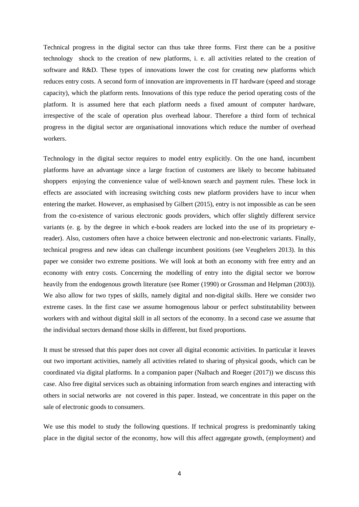Technical progress in the digital sector can thus take three forms. First there can be a positive technology shock to the creation of new platforms, i. e. all activities related to the creation of software and R&D. These types of innovations lower the cost for creating new platforms which reduces entry costs. A second form of innovation are improvements in IT hardware (speed and storage capacity), which the platform rents. Innovations of this type reduce the period operating costs of the platform. It is assumed here that each platform needs a fixed amount of computer hardware, irrespective of the scale of operation plus overhead labour. Therefore a third form of technical progress in the digital sector are organisational innovations which reduce the number of overhead workers.

Technology in the digital sector requires to model entry explicitly. On the one hand, incumbent platforms have an advantage since a large fraction of customers are likely to become habituated shoppers enjoying the convenience value of well-known search and payment rules. These lock in effects are associated with increasing switching costs new platform providers have to incur when entering the market. However, as emphasised by Gilbert (2015), entry is not impossible as can be seen from the co-existence of various electronic goods providers, which offer slightly different service variants (e. g. by the degree in which e-book readers are locked into the use of its proprietary ereader). Also, customers often have a choice between electronic and non-electronic variants. Finally, technical progress and new ideas can challenge incumbent positions (see Veughelers 2013). In this paper we consider two extreme positions. We will look at both an economy with free entry and an economy with entry costs. Concerning the modelling of entry into the digital sector we borrow heavily from the endogenous growth literature (see Romer (1990) or Grossman and Helpman (2003)). We also allow for two types of skills, namely digital and non-digital skills. Here we consider two extreme cases. In the first case we assume homogenous labour or perfect substitutability between workers with and without digital skill in all sectors of the economy. In a second case we assume that the individual sectors demand those skills in different, but fixed proportions.

It must be stressed that this paper does not cover all digital economic activities. In particular it leaves out two important activities, namely all activities related to sharing of physical goods, which can be coordinated via digital platforms. In a companion paper (Nalbach and Roeger (2017)) we discuss this case. Also free digital services such as obtaining information from search engines and interacting with others in social networks are not covered in this paper. Instead, we concentrate in this paper on the sale of electronic goods to consumers.

We use this model to study the following questions. If technical progress is predominantly taking place in the digital sector of the economy, how will this affect aggregate growth, (employment) and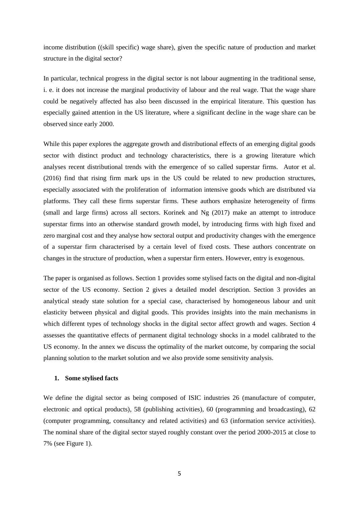income distribution ((skill specific) wage share), given the specific nature of production and market structure in the digital sector?

In particular, technical progress in the digital sector is not labour augmenting in the traditional sense, i. e. it does not increase the marginal productivity of labour and the real wage. That the wage share could be negatively affected has also been discussed in the empirical literature. This question has especially gained attention in the US literature, where a significant decline in the wage share can be observed since early 2000.

While this paper explores the aggregate growth and distributional effects of an emerging digital goods sector with distinct product and technology characteristics, there is a growing literature which analyses recent distributional trends with the emergence of so called superstar firms. Autor et al. (2016) find that rising firm mark ups in the US could be related to new production structures, especially associated with the proliferation of information intensive goods which are distributed via platforms. They call these firms superstar firms. These authors emphasize heterogeneity of firms (small and large firms) across all sectors. Korinek and Ng (2017) make an attempt to introduce superstar firms into an otherwise standard growth model, by introducing firms with high fixed and zero marginal cost and they analyse how sectoral output and productivity changes with the emergence of a superstar firm characterised by a certain level of fixed costs. These authors concentrate on changes in the structure of production, when a superstar firm enters. However, entry is exogenous.

The paper is organised as follows. Section 1 provides some stylised facts on the digital and non-digital sector of the US economy. Section 2 gives a detailed model description. Section 3 provides an analytical steady state solution for a special case, characterised by homogeneous labour and unit elasticity between physical and digital goods. This provides insights into the main mechanisms in which different types of technology shocks in the digital sector affect growth and wages. Section 4 assesses the quantitative effects of permanent digital technology shocks in a model calibrated to the US economy. In the annex we discuss the optimality of the market outcome, by comparing the social planning solution to the market solution and we also provide some sensitivity analysis.

### **1. Some stylised facts**

We define the digital sector as being composed of ISIC industries 26 (manufacture of computer, electronic and optical products), 58 (publishing activities), 60 (programming and broadcasting), 62 (computer programming, consultancy and related activities) and 63 (information service activities). The nominal share of the digital sector stayed roughly constant over the period 2000-2015 at close to 7% (see Figure 1).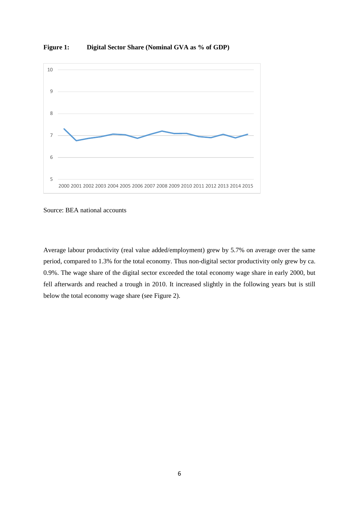

**Figure 1: Digital Sector Share (Nominal GVA as % of GDP)**

Source: BEA national accounts

Average labour productivity (real value added/employment) grew by 5.7% on average over the same period, compared to 1.3% for the total economy. Thus non-digital sector productivity only grew by ca. 0.9%. The wage share of the digital sector exceeded the total economy wage share in early 2000, but fell afterwards and reached a trough in 2010. It increased slightly in the following years but is still below the total economy wage share (see Figure 2).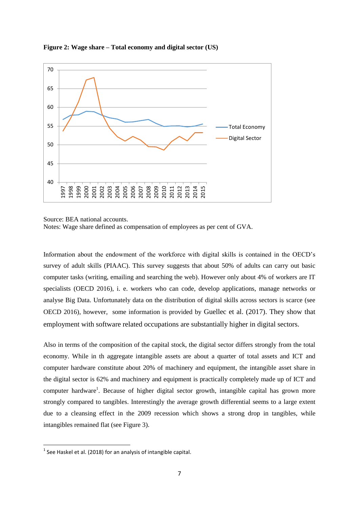

**Figure 2: Wage share – Total economy and digital sector (US)**

Information about the endowment of the workforce with digital skills is contained in the OECD's survey of adult skills (PIAAC). This survey suggests that about 50% of adults can carry out basic computer tasks (writing, emailing and searching the web). However only about 4% of workers are IT specialists (OECD 2016), i. e. workers who can code, develop applications, manage networks or analyse Big Data. Unfortunately data on the distribution of digital skills across sectors is scarce (see OECD 2016), however, some information is provided by Guellec et al. (2017). They show that employment with software related occupations are substantially higher in digital sectors.

Also in terms of the composition of the capital stock, the digital sector differs strongly from the total economy. While in th aggregate intangible assets are about a quarter of total assets and ICT and computer hardware constitute about 20% of machinery and equipment, the intangible asset share in the digital sector is 62% and machinery and equipment is practically completely made up of ICT and computer hardware<sup>1</sup>. Because of higher digital sector growth, intangible capital has grown more strongly compared to tangibles. Interestingly the average growth differential seems to a large extent due to a cleansing effect in the 2009 recession which shows a strong drop in tangibles, while intangibles remained flat (see Figure 3).

**.** 

Source: BEA national accounts. Notes: Wage share defined as compensation of employees as per cent of GVA.

 $<sup>1</sup>$  See Haskel et al. (2018) for an analysis of intangible capital.</sup>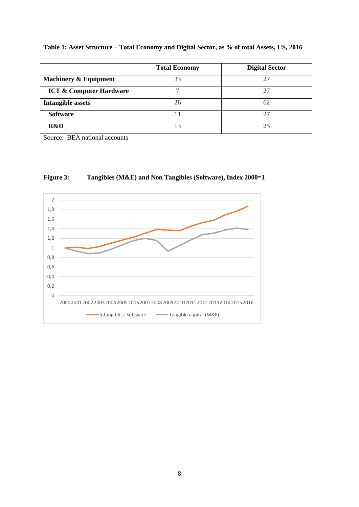**Table 1: Asset Structure – Total Economy and Digital Sector, as % of total Assets, US, 2016**

|                                    | <b>Total Economy</b> | <b>Digital Sector</b> |
|------------------------------------|----------------------|-----------------------|
| <b>Machinery &amp; Equipment</b>   | 33                   | 27                    |
| <b>ICT &amp; Computer Hardware</b> |                      | 27                    |
| <b>Intangible assets</b>           | 26                   | 62                    |
| <b>Software</b>                    |                      | 27                    |
| R&D                                | 13                   | 25                    |

Source: BEA national accounts



# **Figure 3: Tangibles (M&E) and Non Tangibles (Software), Index 2000=1**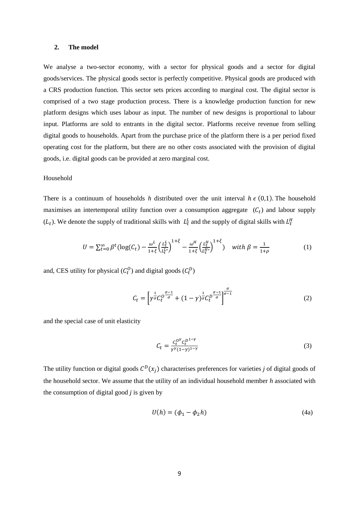### **2. The model**

We analyse a two-sector economy, with a sector for physical goods and a sector for digital goods/services. The physical goods sector is perfectly competitive. Physical goods are produced with a CRS production function. This sector sets prices according to marginal cost. The digital sector is comprised of a two stage production process. There is a knowledge production function for new platform designs which uses labour as input. The number of new designs is proportional to labour input. Platforms are sold to entrants in the digital sector. Platforms receive revenue from selling digital goods to households. Apart from the purchase price of the platform there is a per period fixed operating cost for the platform, but there are no other costs associated with the provision of digital goods, i.e. digital goods can be provided at zero marginal cost.

### Household

There is a continuum of households *h* distributed over the unit interval  $h \in (0,1)$ . The household maximises an intertemporal utility function over a consumption aggregate  $(C_t)$  and labour supply  $(L_t)$ . We denote the supply of traditional skills with  $L_t^L$  and the supply of digital skills with  $L_t^H$ 

$$
U = \sum_{t=0}^{\infty} \beta^t (\log(C_t) - \frac{\omega^L}{1+\xi} \left(\frac{L_t^L}{L_t^L}\right)^{1+\xi} - \frac{\omega^H}{1+\xi} \left(\frac{L_t^H}{L_t^H}\right)^{1+\xi}) \quad \text{with } \beta = \frac{1}{1+\rho}
$$
 (1)

and, CES utility for physical  $(C_t^O)$  and digital goods  $(C_t^D)$ 

$$
C_t = \left[ \gamma^{\frac{1}{\sigma}} C_t^0 \frac{\sigma - 1}{\sigma} + (1 - \gamma)^{\frac{1}{\sigma}} C_t^0 \frac{\sigma - 1}{\sigma} \right]^{\frac{\sigma}{\sigma - 1}} \tag{2}
$$

and the special case of unit elasticity

$$
C_t = \frac{c_t^{0} c_t^{0.1 - \gamma}}{\gamma^{\gamma} (1 - \gamma)^{1 - \gamma}}
$$
\n(3)

The utility function or digital goods  $C^D(x_j)$  characterises preferences for varieties *j* of digital goods of the household sector. We assume that the utility of an individual household member *h* associated with the consumption of digital good *j* is given by

$$
U(h) = (\phi_1 - \phi_2 h) \tag{4a}
$$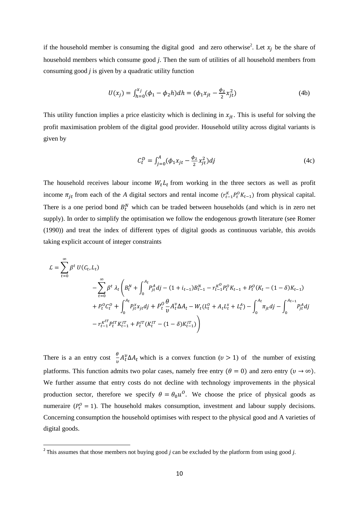if the household member is consuming the digital good and zero otherwise<sup>2</sup>. Let  $x_j$  be the share of household members which consume good *j*. Then the sum of utilities of all household members from consuming good *j* is given by a quadratic utility function

$$
U(x_j) = \int_{h=0}^{x_j} (\phi_1 - \phi_2 h) dh = (\phi_1 x_{jt} - \frac{\phi_2}{2} x_{jt}^2)
$$
 (4b)

This utility function implies a price elasticity which is declining in  $x_{jt}$ . This is useful for solving the profit maximisation problem of the digital good provider. Household utility across digital variants is given by

$$
C_t^D = \int_{j=0}^A (\phi_1 x_{jt} - \frac{\phi_2}{2} x_{jt}^2) dj \tag{4c}
$$

The household receives labour income  $W_t L_t$  from working in the three sectors as well as profit income  $\pi_{jt}$  from each of the *A* digital sectors and rental income ( $r_{t-1}^K P_t^0 K_{t-1}$ ) from physical capital. There is a one period bond  $B_t^N$  which can be traded between households (and which is in zero net supply). In order to simplify the optimisation we follow the endogenous growth literature (see Romer (1990)) and treat the index of different types of digital goods as continuous variable, this avoids taking explicit account of integer constraints

$$
\mathcal{L} = \sum_{t=0}^{\infty} \beta^t U(C_t, L_t)
$$
  
\n
$$
- \sum_{t=0}^{\infty} \beta^t \lambda_t \left( B_t^N + \int_0^{A_t} P_{jt}^A dj - (1 + i_{t-1}) B_{t-1}^N - r_{t-1}^{K^O} P_t^O K_{t-1} + P_t^O (K_t - (1 - \delta) K_{t-1})
$$
  
\n
$$
+ P_t^O C_t^O + \int_0^{A_t} P_{jt}^X x_{jt} dj + P_t^O \frac{\theta}{\nu} A_t^V \Delta A_t - W_t (L_t^O + A_t L_t^X + L_t^A) - \int_0^{A_t} \pi_{jt} dj - \int_0^{A_{t-1}} P_{jt}^A dj
$$
  
\n
$$
- r_{t-1}^{K^{IT}} P_t^{IT} K_{t-1}^{IT} + P_t^{IT} (K_t^{IT} - (1 - \delta) K_{t-1}^{IT}) \right)
$$

There is a an entry cost  $\frac{\theta}{v} A_t^v \Delta A_t$  which is a convex function  $(v > 1)$  of the number of existing platforms. This function admits two polar cases, namely free entry ( $\theta = 0$ ) and zero entry ( $v \to \infty$ ). We further assume that entry costs do not decline with technology improvements in the physical production sector, therefore we specify  $\theta = \theta_0 u^0$ . We choose the price of physical goods as numeraire ( $P_t^0 = 1$ ). The household makes consumption, investment and labour supply decisions. Concerning consumption the household optimises with respect to the physical good and A varieties of digital goods.

**.** 

<sup>2</sup> This assumes that those members not buying good *j* can be excluded by the platform from using good *j.*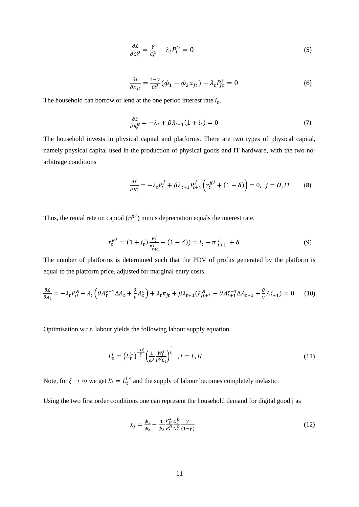$$
\frac{\partial \mathcal{L}}{\partial c_t^0} = \frac{\gamma}{c_t^0} - \lambda_t P_t^0 = 0 \tag{5}
$$

$$
\frac{\partial \mathcal{L}}{\partial x_{jt}} = \frac{1 - \gamma}{c_t^D} (\phi_1 - \phi_2 x_{jt}) - \lambda_t P_{jt}^x = 0
$$
 (6)

The household can borrow or lend at the one period interest rate  $i_t$ .

$$
\frac{\partial \mathcal{L}}{\partial B_t^N} = -\lambda_t + \beta \lambda_{t+1} (1 + i_t) = 0 \tag{7}
$$

The household invests in physical capital and platforms. There are two types of physical capital, namely physical capital used in the production of physical goods and IT hardware, with the two noarbitrage conditions

$$
\frac{\partial \mathcal{L}}{\partial \kappa_t^j} = -\lambda_t P_t^j + \beta \lambda_{t+1} P_{t+1}^j \left( r_t^{K^j} + (1 - \delta) \right) = 0, \ \ j = 0, \ I^T \tag{8}
$$

Thus, the rental rate on capital  $(r_t^{K})$  minus depreciation equals the interest rate.

$$
r_t^{K^j} = (1 + i_t) \frac{p_t^j}{p_{t+1}^j} - (1 - \delta)) = i_t - \pi \frac{i}{t+1} + \delta
$$
\n(9)

The number of platforms is determined such that the PDV of profits generated by the platform is equal to the platform price, adjusted for marginal entry costs.

$$
\frac{\partial \mathcal{L}}{\partial A_t} = -\lambda_t P_{jt}^A - \lambda_t \left( \theta A_t^{\nu-1} \Delta A_t + \frac{\theta}{\nu} A_t^{\nu} \right) + \lambda_t \pi_{jt} + \beta \lambda_{t+1} (P_{jt+1}^A - \theta A_{t+1}^{\nu-1} \Delta A_{t+1} + \frac{\theta}{\nu} A_{t+1}^{\nu}) = 0 \tag{10}
$$

Optimisation w.r.t. labour yields the following labour supply equation

$$
L_t^i = \left( L_t^{i*} \right)^{\frac{1+\xi}{\xi}} \left( \frac{1}{\omega^i} \frac{w_t^i}{P_t^C c_t} \right)^{\frac{1}{\xi}}, \quad i = L, H
$$
\n(11)

Note, for  $\xi \to \infty$  we get  $L_t^i = L_t^{i,*}$  and the supply of labour becomes completely inelastic.

Using the two first order conditions one can represent the household demand for digital good j as

$$
x_j = \frac{\phi_1}{\phi_2} - \frac{1}{\phi_2} \frac{P_{jt}^x}{P_t^0} \frac{C_t^D}{C_t^0} \frac{\gamma}{(1-\gamma)}
$$
(12)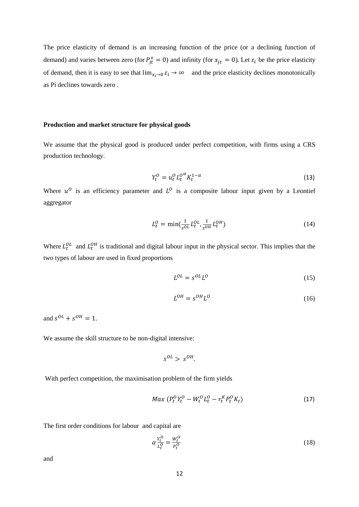The price elasticity of demand is an increasing function of the price (or a declining function of demand) and varies between zero (for  $P_{jt}^x = 0$ ) and infinity (for  $x_{jt} = 0$ ). Let  $\varepsilon_i$  be the price elasticity of demand, then it is easy to see that  $\lim_{x_i\to 0} \varepsilon_i \to \infty$  and the price elasticity declines monotonically as Pi declines towards zero .

# **Production and market structure for physical goods**

We assume that the physical good is produced under perfect competition, with firms using a CRS production technology.

$$
Y_t^O = u_t^O L_t^{O^{\alpha}} K_t^{1-\alpha} \tag{13}
$$

Where  $u^0$  is an efficiency parameter and  $L^0$  is a composite labour input given by a Leontief aggregator

$$
L_t^0 = \min(\frac{1}{s^{OL}} L_t^{0L}, \frac{1}{s^{OH}} L_t^{0H})
$$
\n(14)

Where  $L_t^{OL}$  and  $L_t^{OH}$  is traditional and digital labour input in the physical sector. This implies that the two types of labour are used in fixed proportions

$$
L^{OL} = s^{OL}L^{O}
$$
 (15)

$$
L^{OH} = s^{OH}L^{O} \tag{16}
$$

and  $s^{OL} + s^{OH} = 1$ .

We assume the skill structure to be non-digital intensive:

$$
s^{OL} > s^{OH}.
$$

With perfect competition, the maximisation problem of the firm yields

$$
Max (P_t^O Y_t^O - W_t^O L_t^O - r_t^K P_t^O K_t)
$$
\n(17)

The first order conditions for labour and capital are

$$
\alpha \frac{Y_t^O}{L_t^O} = \frac{W_t^O}{P_t^O} \tag{18}
$$

and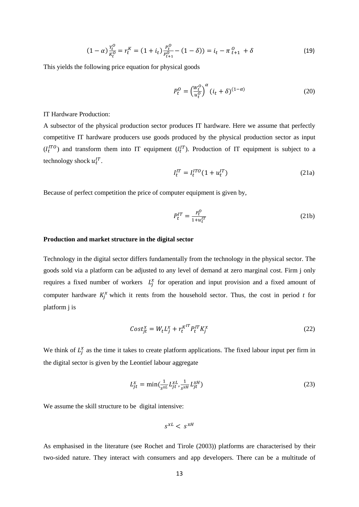$$
(1 - \alpha) \frac{Y_t^0}{K_t^0} = r_t^K = (1 + i_t) \frac{P_t^0}{P_{t+1}^0} - (1 - \delta)) = i_t - \pi \frac{0}{t+1} + \delta
$$
\n(19)

This yields the following price equation for physical goods

$$
P_t^O = \left(\frac{W_t^O}{u_t^O}\right)^{\alpha} (i_t + \delta)^{(1-\alpha)}
$$
\n(20)

IT Hardware Production:

A subsector of the physical production sector produces IT hardware. Here we assume that perfectly competitive IT hardware producers use goods produced by the physical production sector as input  $(I_t^{ITO})$  and transform them into IT equipment  $(I_t^{IT})$ . Production of IT equipment is subject to a technology shock  $u_t^{IT}$ .

$$
I_t^{IT} = I_t^{ITO} (1 + u_t^{IT})
$$
 (21a)

Because of perfect competition the price of computer equipment is given by,

$$
P_t^{IT} = \frac{P_t^O}{1 + u_t^{IT}}\tag{21b}
$$

### **Production and market structure in the digital sector**

Technology in the digital sector differs fundamentally from the technology in the physical sector. The goods sold via a platform can be adjusted to any level of demand at zero marginal cost. Firm j only requires a fixed number of workers  $L_j^x$  for operation and input provision and a fixed amount of computer hardware  $K_j^x$  which it rents from the household sector. Thus, the cost in period *t* for platform j is

$$
Cost_{jt}^x = W_t L_j^x + r_t^{\kappa^{IT}} P_t^{IT} K_j^x \tag{22}
$$

We think of  $L_j^x$  as the time it takes to create platform applications. The fixed labour input per firm in the digital sector is given by the Leontief labour aggregate

$$
L_{jt}^{x} = \min(\frac{1}{s^{xL}} L_{jt}^{xL}, \frac{1}{s^{xH}} L_{jt}^{xH})
$$
\n(23)

We assume the skill structure to be digital intensive:

$$
s^{xL} < s^{xH}
$$

As emphasised in the literature (see Rochet and Tirole (2003)) platforms are characterised by their two-sided nature. They interact with consumers and app developers. There can be a multitude of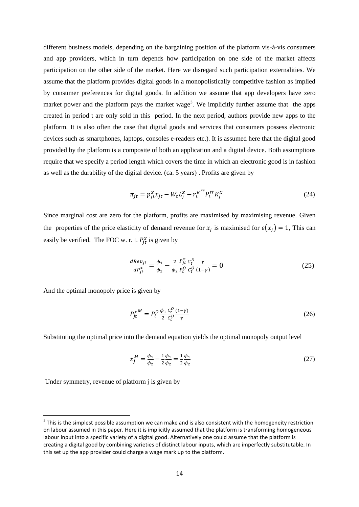different business models, depending on the bargaining position of the platform vis-à-vis consumers and app providers, which in turn depends how participation on one side of the market affects participation on the other side of the market. Here we disregard such participation externalities. We assume that the platform provides digital goods in a monopolistically competitive fashion as implied by consumer preferences for digital goods. In addition we assume that app developers have zero market power and the platform pays the market wage<sup>3</sup>. We implicitly further assume that the apps created in period t are only sold in this period. In the next period, authors provide new apps to the platform. It is also often the case that digital goods and services that consumers possess electronic devices such as smartphones, laptops, consoles e-readers etc.). It is assumed here that the digital good provided by the platform is a composite of both an application and a digital device. Both assumptions require that we specify a period length which covers the time in which an electronic good is in fashion as well as the durability of the digital device. (ca. 5 years) . Profits are given by

$$
\pi_{jt} = p_{jt}^x x_{jt} - W_t L_j^x - r_t^{K^{IT}} P_t^{IT} K_j^x \tag{24}
$$

Since marginal cost are zero for the platform, profits are maximised by maximising revenue. Given the properties of the price elasticity of demand revenue for  $x_j$  is maximised for  $\varepsilon(x_j) = 1$ , This can easily be verified. The FOC w. r. t.  $P_{jt}^x$  is given by

$$
\frac{dRe v_{jt}}{dP_{jt}^{\chi}} = \frac{\phi_1}{\phi_2} - \frac{2}{\phi_2} \frac{P_{jt}^{\chi}}{P_t^0} \frac{C_t^D}{C_t^O} \frac{\gamma}{(1-\gamma)} = 0
$$
\n(25)

And the optimal monopoly price is given by

$$
P_{jt}^{\chi M} = P_t^0 \frac{\phi_1}{2} \frac{c_t^0}{c_t^0} \frac{(1-\gamma)}{\gamma}
$$
 (26)

Substituting the optimal price into the demand equation yields the optimal monopoly output level

$$
x_j^M = \frac{\phi_1}{\phi_2} - \frac{1}{2} \frac{\phi_1}{\phi_2} = \frac{1}{2} \frac{\phi_1}{\phi_2}
$$
 (27)

Under symmetry, revenue of platform j is given by

**.** 

 $3$  This is the simplest possible assumption we can make and is also consistent with the homogeneity restriction on labour assumed in this paper. Here it is implicitly assumed that the platform is transforming homogeneous labour input into a specific variety of a digital good. Alternatively one could assume that the platform is creating a digital good by combining varieties of distinct labour inputs, which are imperfectly substitutable. In this set up the app provider could charge a wage mark up to the platform.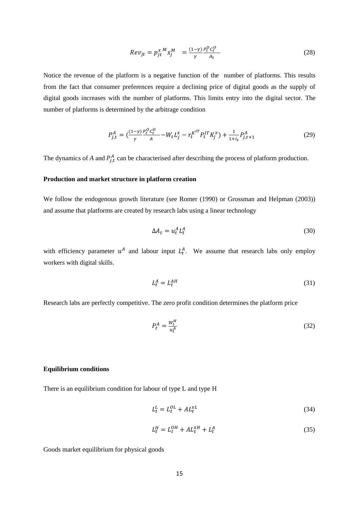$$
Re v_{jt} = p_{jt}^{x}{}^{M} x_{j}^{M} = \frac{(1-\gamma)}{\gamma} \frac{P_t^0 c_t^0}{A_t}
$$
 (28)

Notice the revenue of the platform is a negative function of the number of platforms. This results from the fact that consumer preferences require a declining price of digital goods as the supply of digital goods increases with the number of platforms. This limits entry into the digital sector. The number of platforms is determined by the arbitrage condition

$$
P_{j,t}^A = \left(\frac{(1-\gamma)}{\gamma} \frac{P_t^0 c_t^0}{A} - W_t L_j^x - r_t^{K^{IT}} P_t^{IT} K_j^x \right) + \frac{1}{1+i_t} P_{j,t+1}^A \tag{29}
$$

The dynamics of *A* and  $P_{j,t}^A$  can be characterised after describing the process of platform production.

### **Production and market structure in platform creation**

We follow the endogenous growth literature (see Romer (1990) or Grossman and Helpman (2003)) and assume that platforms are created by research labs using a linear technology

$$
\Delta A_t = u_t^A L_t^A \tag{30}
$$

with efficiency parameter  $u^A$  and labour input  $L_t^A$ . We assume that research labs only employ workers with digital skills.

$$
L_t^A = L_t^{AH} \tag{31}
$$

Research labs are perfectly competitive. The zero profit condition determines the platform price

$$
P_t^A = \frac{W_t^H}{u_t^A} \tag{32}
$$

### **Equilibrium conditions**

There is an equilibrium condition for labour of type L and type H

$$
L_t^L = L_t^{OL} + AL_t^{XL}
$$
\n<sup>(34)</sup>

$$
L_t^H = L_t^{OH} + AL_t^{xH} + L_t^A \tag{35}
$$

Goods market equilibrium for physical goods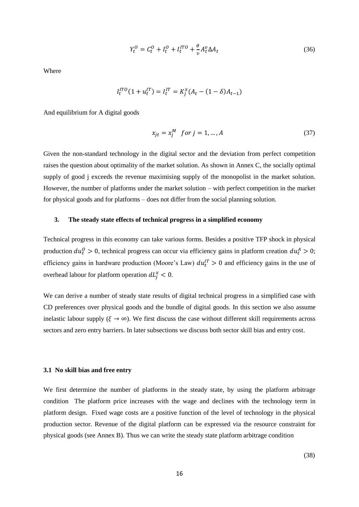$$
Y_t^O = C_t^O + I_t^O + I_t^{ITO} + \frac{\theta}{v} A_t^v \Delta A_t \tag{36}
$$

Where

$$
I_t^{ITO}(1+u_t^{IT})=I_t^{IT}=K_j^x(A_t-(1-\delta)A_{t-1})
$$

And equilibrium for A digital goods

$$
x_{jt} = x_j^M \quad \text{for } j = 1, \dots, A \tag{37}
$$

Given the non-standard technology in the digital sector and the deviation from perfect competition raises the question about optimality of the market solution. As shown in Annex C, the socially optimal supply of good j exceeds the revenue maximising supply of the monopolist in the market solution. However, the number of platforms under the market solution – with perfect competition in the market for physical goods and for platforms – does not differ from the social planning solution.

### **3. The steady state effects of technical progress in a simplified economy**

Technical progress in this economy can take various forms. Besides a positive TFP shock in physical production  $du_t^0 > 0$ , technical progress can occur via efficiency gains in platform creation  $du_t^0 > 0$ ; efficiency gains in hardware production (Moore's Law)  $du_t^{IT} > 0$  and efficiency gains in the use of overhead labour for platform operation  $dL_j^x < 0$ .

We can derive a number of steady state results of digital technical progress in a simplified case with CD preferences over physical goods and the bundle of digital goods. In this section we also assume inelastic labour supply ( $\xi \to \infty$ ). We first discuss the case without different skill requirements across sectors and zero entry barriers. In later subsections we discuss both sector skill bias and entry cost.

#### **3.1 No skill bias and free entry**

We first determine the number of platforms in the steady state, by using the platform arbitrage condition The platform price increases with the wage and declines with the technology term in platform design. Fixed wage costs are a positive function of the level of technology in the physical production sector. Revenue of the digital platform can be expressed via the resource constraint for physical goods (see Annex B). Thus we can write the steady state platform arbitrage condition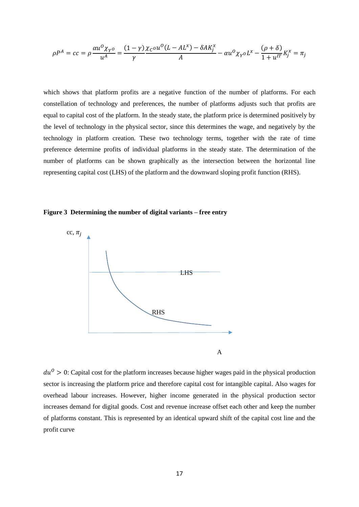$$
\rho P^A = cc = \rho \frac{\alpha u^O \chi_{Y^O}}{u^A} = \frac{(1-\gamma) \chi_C \sigma u^O (L - AL^x) - \delta A K_j^x}{A} - \alpha u^O \chi_{Y^O} L^x - \frac{(\rho + \delta)}{1 + u^{IT}} K_j^x = \pi_j
$$

which shows that platform profits are a negative function of the number of platforms. For each constellation of technology and preferences, the number of platforms adjusts such that profits are equal to capital cost of the platform. In the steady state, the platform price is determined positively by the level of technology in the physical sector, since this determines the wage, and negatively by the technology in platform creation. These two technology terms, together with the rate of time preference determine profits of individual platforms in the steady state. The determination of the number of platforms can be shown graphically as the intersection between the horizontal line representing capital cost (LHS) of the platform and the downward sloping profit function (RHS).





 $du^0 > 0$ : Capital cost for the platform increases because higher wages paid in the physical production sector is increasing the platform price and therefore capital cost for intangible capital. Also wages for overhead labour increases. However, higher income generated in the physical production sector increases demand for digital goods. Cost and revenue increase offset each other and keep the number of platforms constant. This is represented by an identical upward shift of the capital cost line and the profit curve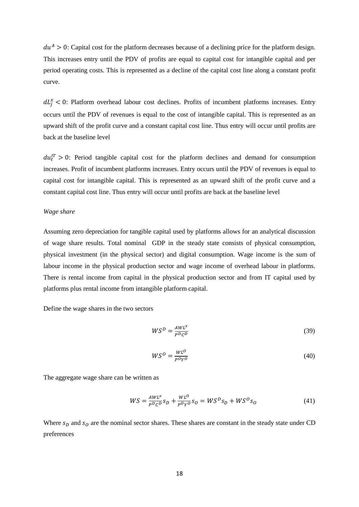$du^{A} > 0$ : Capital cost for the platform decreases because of a declining price for the platform design. This increases entry until the PDV of profits are equal to capital cost for intangible capital and per period operating costs. This is represented as a decline of the capital cost line along a constant profit curve.

 $dL_j^x < 0$ : Platform overhead labour cost declines. Profits of incumbent platforms increases. Entry occurs until the PDV of revenues is equal to the cost of intangible capital. This is represented as an upward shift of the profit curve and a constant capital cost line. Thus entry will occur until profits are back at the baseline level

 $du_t^{IT} > 0$ : Period tangible capital cost for the platform declines and demand for consumption increases. Profit of incumbent platforms increases. Entry occurs until the PDV of revenues is equal to capital cost for intangible capital. This is represented as an upward shift of the profit curve and a constant capital cost line. Thus entry will occur until profits are back at the baseline level

### *Wage share*

Assuming zero depreciation for tangible capital used by platforms allows for an analytical discussion of wage share results. Total nominal GDP in the steady state consists of physical consumption, physical investment (in the physical sector) and digital consumption. Wage income is the sum of labour income in the physical production sector and wage income of overhead labour in platforms. There is rental income from capital in the physical production sector and from IT capital used by platforms plus rental income from intangible platform capital.

Define the wage shares in the two sectors

$$
WS^D = \frac{AWL^x}{P^D C^D} \tag{39}
$$

$$
WS^0 = \frac{WL^0}{P^0Y^0} \tag{40}
$$

The aggregate wage share can be written as

$$
WS = \frac{AWL^x}{P^D C^D} s_D + \frac{WL^O}{P^O Y^O} s_O = WS^D s_D + WS^O s_O \tag{41}
$$

Where  $s_p$  and  $s_q$  are the nominal sector shares. These shares are constant in the steady state under CD preferences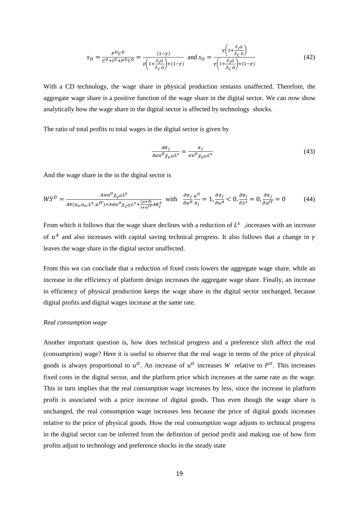$$
s_D = \frac{P^D C^D}{C^D + I^D + P^D C^D} = \frac{(1-\gamma)}{\gamma \left(1 + \frac{\chi_I \rho}{\chi_C \rho}\right) + (1-\gamma)} \text{ and } s_O = \frac{\gamma \left(1 + \frac{\chi_I \rho}{\chi_C \rho}\right)}{\gamma \left(1 + \frac{\chi_I \rho}{\chi_C \rho}\right) + (1-\gamma)} \tag{42}
$$

With a CD technology, the wage share in physical production remains unaffected. Therefore, the aggregate wage share is a positive function of the wage share in the digital sector. We can now show analytically how the wage share in the digital sector is affected by technology shocks.

The ratio of total profits to total wages in the digital sector is given by

$$
\frac{A\pi_j}{A\alpha u^0 \chi_{\gamma 0} L^x} = \frac{\pi_j}{\alpha u^0 \chi_{\gamma 0} L^x}
$$
(43)

And the wage share in the in the digital sector is

$$
WS^D = \frac{A\alpha u^O \chi_{Y} o L^x}{A\pi (u_o, u_a, L^x, u^{IT}) + A\alpha u^O \chi_{Y} o L^x + \frac{(\rho + \delta)}{1 + u^{IT}} AK_j^x} \quad \text{with} \quad \frac{\partial \pi_j}{\partial u^O \pi_j} = 1, \frac{\partial \pi_j}{\partial u^A} < 0, \frac{\partial \pi_j}{\partial L^x} = 0, \frac{\partial \pi_j}{\partial u^{IT}} = 0 \tag{44}
$$

From which it follows that the wage share declines with a reduction of  $L^x$ , increases with an increase of  $u^A$  and also increases with capital saving technical progress. It also follows that a change in  $\gamma$ leaves the wage share in the digital sector unaffected.

From this we can conclude that a reduction of fixed costs lowers the aggregate wage share, while an increase in the efficiency of platform design increases the aggregate wage share. Finally, an increase in efficiency of physical production keeps the wage share in the digital sector unchanged, because digital profits and digital wages increase at the same rate.

### *Real consumption wage*

Another important question is, how does technical progress and a preference shift affect the real (consumption) wage? Here it is useful to observe that the real wage in terms of the price of physical goods is always proportional to  $u^0$ . An increase of  $u^0$  increases W relative to  $P^0$ . This increases fixed costs in the digital sector, and the platform price which increases at the same rate as the wage. This in turn implies that the real consumption wage increases by less, since the increase in platform profit is associated with a price increase of digital goods. Thus even though the wage share is unchanged, the real consumption wage increases less because the price of digital goods increases relative to the price of physical goods. How the real consumption wage adjusts to technical progress in the digital sector can be inferred from the definition of period profit and making use of how firm profits adjust to technology and preference shocks in the steady state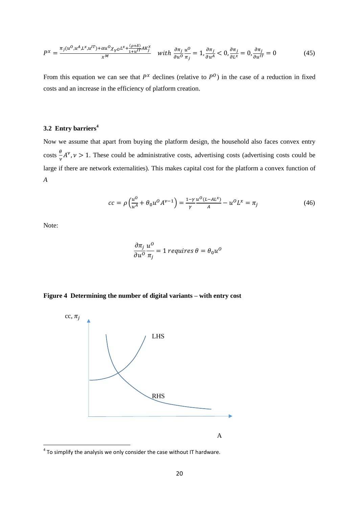$$
P^x = \frac{\pi_j(u^0, u^A, L^x, u^{IT}) + \alpha u^0 \chi_{Y^0} L^x + \frac{(\rho + \delta)}{1 + u^{IT} A K_j^x}}{x^M} \quad \text{with } \frac{\partial \pi_j}{\partial u^0} \frac{u^0}{\pi_j} = 1, \frac{\partial \pi_j}{\partial u^A} < 0, \frac{\partial \pi_j}{\partial u^B} = 0, \frac{\partial \pi_j}{\partial u^{IT}} = 0 \tag{45}
$$

From this equation we can see that  $P^x$  declines (relative to  $P^0$ ) in the case of a reduction in fixed costs and an increase in the efficiency of platform creation.

# **3.2 Entry barriers<sup>4</sup>**

Now we assume that apart from buying the platform design, the household also faces convex entry  $\csc \frac{\theta}{\cos \theta}$  $\frac{\partial}{\partial v}A^{\nu}$ ,  $\nu > 1$ . These could be administrative costs, advertising costs (advertising costs could be large if there are network externalities). This makes capital cost for the platform a convex function of *A*

$$
cc = \rho \left( \frac{u^0}{u^A} + \theta_0 u^0 A^{\nu - 1} \right) = \frac{1 - \gamma}{\gamma} \frac{u^0 (L - AL^x)}{A} - u^0 L^x = \pi_j \tag{46}
$$

Note:

$$
\frac{\partial \pi_j}{\partial u^0} \frac{u^0}{\pi_j} = 1 \text{ requires } \theta = \theta_0 u^0
$$

# **Figure 4 Determining the number of digital variants – with entry cost**



 4 To simplify the analysis we only consider the case without IT hardware.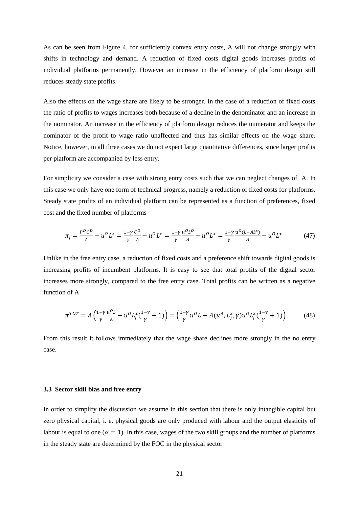As can be seen from Figure 4, for sufficiently convex entry costs, A will not change strongly with shifts in technology and demand. A reduction of fixed costs digital goods increases profits of individual platforms permanently. However an increase in the efficiency of platform design still reduces steady state profits.

Also the effects on the wage share are likely to be stronger. In the case of a reduction of fixed costs the ratio of profits to wages increases both because of a decline in the denominator and an increase in the nominator. An increase in the efficiency of platform design reduces the numerator and keeps the nominator of the profit to wage ratio unaffected and thus has similar effects on the wage share. Notice, however, in all three cases we do not expect large quantitative differences, since larger profits per platform are accompanied by less entry.

For simplicity we consider a case with strong entry costs such that we can neglect changes of A. In this case we only have one form of technical progress, namely a reduction of fixed costs for platforms. Steady state profits of an individual platform can be represented as a function of preferences, fixed cost and the fixed number of platforms

$$
\pi_j = \frac{P^D c^D}{A} - u^O L^x = \frac{1 - \gamma c^O}{\gamma A} - u^O L^x = \frac{1 - \gamma u^O L^O}{\gamma A} - u^O L^x = \frac{1 - \gamma u^O (L - AL^x)}{\gamma A} - u^O L^x \tag{47}
$$

Unlike in the free entry case, a reduction of fixed costs and a preference shift towards digital goods is increasing profits of incumbent platforms. It is easy to see that total profits of the digital sector increases more strongly, compared to the free entry case. Total profits can be written as a negative function of A.

$$
\pi^{TOT} = A \left( \frac{1 - \gamma u^0 L}{\gamma} - u^0 L_j^x (\frac{1 - \gamma}{\gamma} + 1) \right) = \left( \frac{1 - \gamma u^0 L}{\gamma} - A(u^A, L_j^x, \gamma) u^0 L_j^x (\frac{1 - \gamma}{\gamma} + 1) \right) \tag{48}
$$

From this result it follows immediately that the wage share declines more strongly in the no entry case.

### **3.3 Sector skill bias and free entry**

In order to simplify the discussion we assume in this section that there is only intangible capital but zero physical capital, i. e. physical goods are only produced with labour and the output elasticity of labour is equal to one ( $\alpha = 1$ ). In this case, wages of the two skill groups and the number of platforms in the steady state are determined by the FOC in the physical sector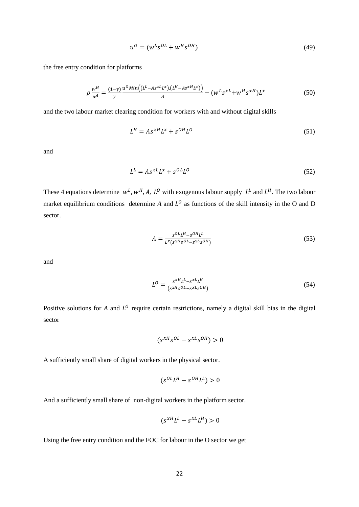$$
u^0 = (w^L s^{OL} + w^H s^{OH})
$$
\n<sup>(49)</sup>

the free entry condition for platforms

$$
\rho \frac{w^H}{u^A} = \frac{(1-\gamma)}{\gamma} \frac{u^0 \text{Min}\left((L^L - As^{xL}L^x), (L^H - As^{xH}L^x)\right)}{A} - (w^L s^{xL} + w^H s^{xH})L^x \tag{50}
$$

and the two labour market clearing condition for workers with and without digital skills

$$
L^H = A s^{xH} L^x + s^{OH} L^0 \tag{51}
$$

and

$$
L^L = A s^{xL} L^x + s^{OL} L^0 \tag{52}
$$

These 4 equations determine  $w^L$ ,  $w^H$ , A,  $L^0$  with exogenous labour supply  $L^L$  and  $L^H$ . The two labour market equilibrium conditions determine A and  $L^0$  as functions of the skill intensity in the O and D sector.

$$
A = \frac{s^{OL}L^H - s^{OH}L^L}{L^x(s^{xH}s^{OL} - s^{xL}s^{OH})}
$$
\n
$$
(53)
$$

and

$$
L^{O} = \frac{s^{xH}L^{L} - s^{xL}L^{H}}{(s^{xH}s^{OL} - s^{xL}s^{OH})}
$$
\n(54)

Positive solutions for  $A$  and  $L^0$  require certain restrictions, namely a digital skill bias in the digital sector

$$
(s^{xH}s^{OL} - s^{xL}s^{OH}) > 0
$$

A sufficiently small share of digital workers in the physical sector.

$$
(s^{OL}L^H - s^{OH}L^L) > 0
$$

And a sufficiently small share of non-digital workers in the platform sector.

$$
(s^{xH}L^L - s^{xL}L^H) > 0
$$

Using the free entry condition and the FOC for labour in the O sector we get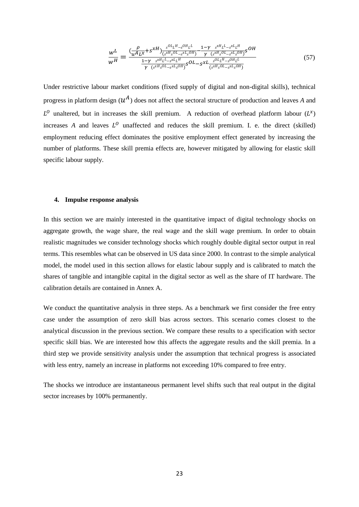$$
\frac{w^{L}}{w^{H}} = \frac{\left(\frac{\rho}{u^{A}L^{x}} + s^{xH}\right)\frac{s^{OL}L^{H}-s^{OL}L^{L}}{(s^{xH}s^{OL}-s^{xL}s^{OH})} - \frac{1-\gamma}{\gamma}\frac{s^{xH}L^{L}-s^{xL}L^{H}}{(s^{xH}s^{OL}-s^{xL}s^{OH})}s^{OH}}{\frac{1-\gamma}{\gamma}\frac{s^{xH}L^{L}-s^{xL}L^{H}}{(s^{xH}s^{OL}-s^{xL}s^{OH})}s^{OL}-s^{xL}\frac{s^{OL}L^{H}-s^{OL}L^{L}}{(s^{xH}s^{OL}-s^{xL}s^{OL})}}\tag{57}
$$

Under restrictive labour market conditions (fixed supply of digital and non-digital skills), technical progress in platform design  $(u^A)$  does not affect the sectoral structure of production and leaves A and  $L^0$  unaltered, but in increases the skill premium. A reduction of overhead platform labour  $(L^x)$ increases A and leaves  $L^0$  unaffected and reduces the skill premium. I. e. the direct (skilled) employment reducing effect dominates the positive employment effect generated by increasing the number of platforms. These skill premia effects are, however mitigated by allowing for elastic skill specific labour supply.

### **4. Impulse response analysis**

In this section we are mainly interested in the quantitative impact of digital technology shocks on aggregate growth, the wage share, the real wage and the skill wage premium. In order to obtain realistic magnitudes we consider technology shocks which roughly double digital sector output in real terms. This resembles what can be observed in US data since 2000. In contrast to the simple analytical model, the model used in this section allows for elastic labour supply and is calibrated to match the shares of tangible and intangible capital in the digital sector as well as the share of IT hardware. The calibration details are contained in Annex A.

We conduct the quantitative analysis in three steps. As a benchmark we first consider the free entry case under the assumption of zero skill bias across sectors. This scenario comes closest to the analytical discussion in the previous section. We compare these results to a specification with sector specific skill bias. We are interested how this affects the aggregate results and the skill premia. In a third step we provide sensitivity analysis under the assumption that technical progress is associated with less entry, namely an increase in platforms not exceeding 10% compared to free entry.

The shocks we introduce are instantaneous permanent level shifts such that real output in the digital sector increases by 100% permanently.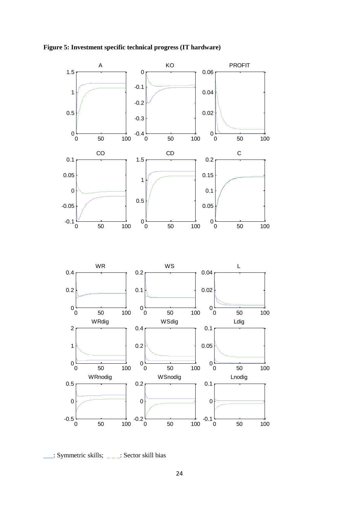



\_\_\_: Symmetric skills; \_ \_ \_: Sector skill bias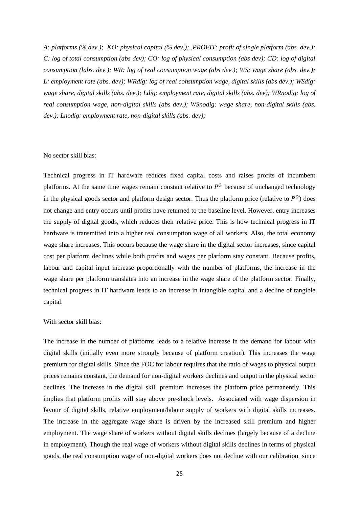*A: platforms (% dev.); KO: physical capital (% dev.); ,PROFIT: profit of single platform (abs. dev.): C: log of total consumption (abs dev); CO: log of physical consumption (abs dev); CD: log of digital consumption (labs. dev.); WR: log of real consumption wage (abs dev.); WS: wage share (abs. dev.); L: employment rate (abs. dev); WRdig: log of real consumption wage, digital skills (abs dev.); WSdig: wage share, digital skills (abs. dev.); Ldig: employment rate, digital skills (abs. dev); WRnodig: log of real consumption wage, non-digital skills (abs dev.); WSnodig: wage share, non-digital skills (abs. dev.); Lnodig: employment rate, non-digital skills (abs. dev);*

### No sector skill bias:

Technical progress in IT hardware reduces fixed capital costs and raises profits of incumbent platforms. At the same time wages remain constant relative to  $P<sup>0</sup>$  because of unchanged technology in the physical goods sector and platform design sector. Thus the platform price (relative to  $P^0$ ) does not change and entry occurs until profits have returned to the baseline level. However, entry increases the supply of digital goods, which reduces their relative price. This is how technical progress in IT hardware is transmitted into a higher real consumption wage of all workers. Also, the total economy wage share increases. This occurs because the wage share in the digital sector increases, since capital cost per platform declines while both profits and wages per platform stay constant. Because profits, labour and capital input increase proportionally with the number of platforms, the increase in the wage share per platform translates into an increase in the wage share of the platform sector. Finally, technical progress in IT hardware leads to an increase in intangible capital and a decline of tangible capital.

### With sector skill bias:

The increase in the number of platforms leads to a relative increase in the demand for labour with digital skills (initially even more strongly because of platform creation). This increases the wage premium for digital skills. Since the FOC for labour requires that the ratio of wages to physical output prices remains constant, the demand for non-digital workers declines and output in the physical sector declines. The increase in the digital skill premium increases the platform price permanently. This implies that platform profits will stay above pre-shock levels. Associated with wage dispersion in favour of digital skills, relative employment/labour supply of workers with digital skills increases. The increase in the aggregate wage share is driven by the increased skill premium and higher employment. The wage share of workers without digital skills declines (largely because of a decline in employment). Though the real wage of workers without digital skills declines in terms of physical goods, the real consumption wage of non-digital workers does not decline with our calibration, since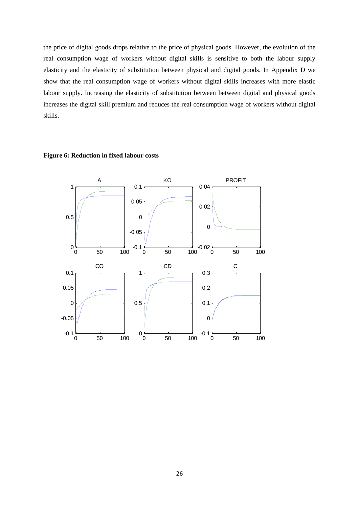the price of digital goods drops relative to the price of physical goods. However, the evolution of the real consumption wage of workers without digital skills is sensitive to both the labour supply elasticity and the elasticity of substitution between physical and digital goods. In Appendix D we show that the real consumption wage of workers without digital skills increases with more elastic labour supply. Increasing the elasticity of substitution between between digital and physical goods increases the digital skill premium and reduces the real consumption wage of workers without digital skills.

# **Figure 6: Reduction in fixed labour costs**

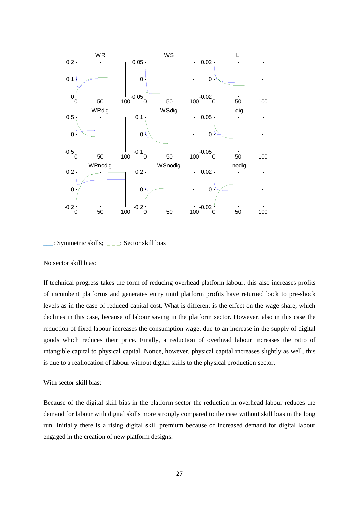



No sector skill bias:

If technical progress takes the form of reducing overhead platform labour, this also increases profits of incumbent platforms and generates entry until platform profits have returned back to pre-shock levels as in the case of reduced capital cost. What is different is the effect on the wage share, which declines in this case, because of labour saving in the platform sector. However, also in this case the reduction of fixed labour increases the consumption wage, due to an increase in the supply of digital goods which reduces their price. Finally, a reduction of overhead labour increases the ratio of intangible capital to physical capital. Notice, however, physical capital increases slightly as well, this is due to a reallocation of labour without digital skills to the physical production sector.

# With sector skill bias:

Because of the digital skill bias in the platform sector the reduction in overhead labour reduces the demand for labour with digital skills more strongly compared to the case without skill bias in the long run. Initially there is a rising digital skill premium because of increased demand for digital labour engaged in the creation of new platform designs.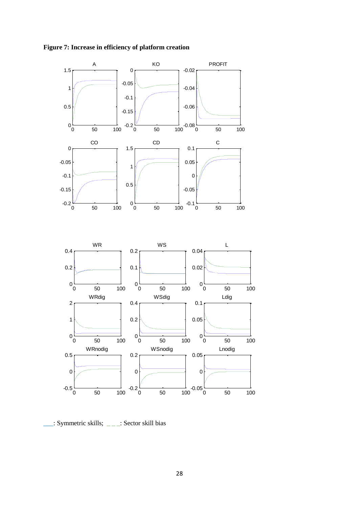

**Figure 7: Increase in efficiency of platform creation**

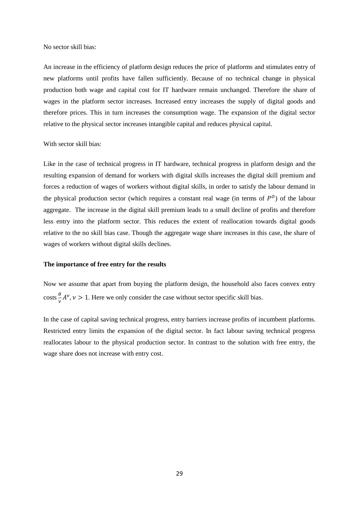No sector skill bias:

An increase in the efficiency of platform design reduces the price of platforms and stimulates entry of new platforms until profits have fallen sufficiently. Because of no technical change in physical production both wage and capital cost for IT hardware remain unchanged. Therefore the share of wages in the platform sector increases. Increased entry increases the supply of digital goods and therefore prices. This in turn increases the consumption wage. The expansion of the digital sector relative to the physical sector increases intangible capital and reduces physical capital.

# With sector skill bias:

Like in the case of technical progress in IT hardware, technical progress in platform design and the resulting expansion of demand for workers with digital skills increases the digital skill premium and forces a reduction of wages of workers without digital skills, in order to satisfy the labour demand in the physical production sector (which requires a constant real wage (in terms of  $P^0$ ) of the labour aggregate. The increase in the digital skill premium leads to a small decline of profits and therefore less entry into the platform sector. This reduces the extent of reallocation towards digital goods relative to the no skill bias case. Though the aggregate wage share increases in this case, the share of wages of workers without digital skills declines.

### **The importance of free entry for the results**

Now we assume that apart from buying the platform design, the household also faces convex entry  $\csc \frac{\theta}{2}$  $\frac{\partial}{\partial \nu} A^{\nu}$ ,  $\nu > 1$ . Here we only consider the case without sector specific skill bias.

In the case of capital saving technical progress, entry barriers increase profits of incumbent platforms. Restricted entry limits the expansion of the digital sector. In fact labour saving technical progress reallocates labour to the physical production sector. In contrast to the solution with free entry, the wage share does not increase with entry cost.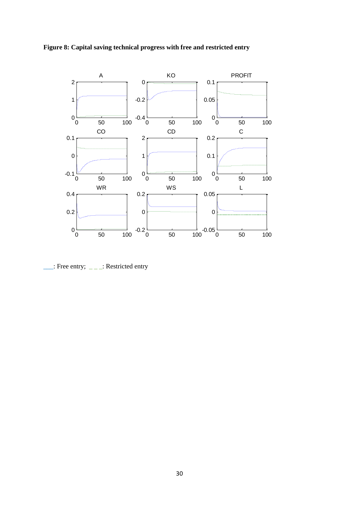



 $\frac{1}{\sqrt{2}}$ : Free entry;  $\frac{1}{\sqrt{2}}$ : Restricted entry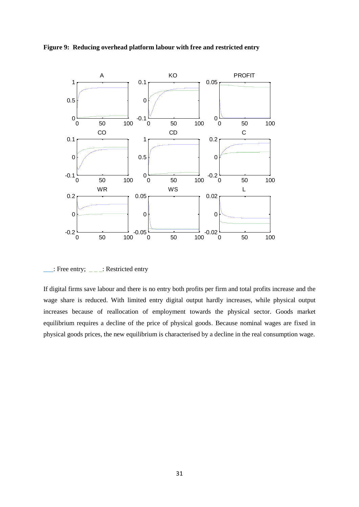



 $\therefore$ : Free entry;  $\angle$   $\angle$   $\angle$  : Restricted entry

If digital firms save labour and there is no entry both profits per firm and total profits increase and the wage share is reduced. With limited entry digital output hardly increases, while physical output increases because of reallocation of employment towards the physical sector. Goods market equilibrium requires a decline of the price of physical goods. Because nominal wages are fixed in physical goods prices, the new equilibrium is characterised by a decline in the real consumption wage.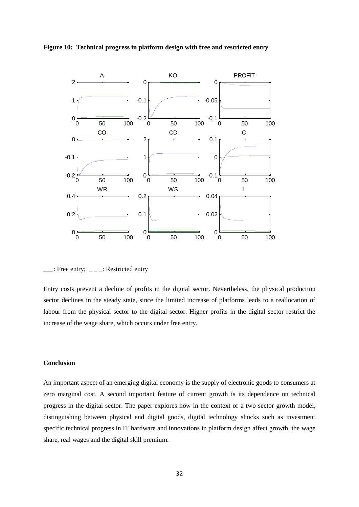



\_\_\_: Free entry; \_ \_ \_: Restricted entry

Entry costs prevent a decline of profits in the digital sector. Nevertheless, the physical production sector declines in the steady state, since the limited increase of platforms leads to a reallocation of labour from the physical sector to the digital sector. Higher profits in the digital sector restrict the increase of the wage share, which occurs under free entry.

# **Conclusion**

An important aspect of an emerging digital economy is the supply of electronic goods to consumers at zero marginal cost. A second important feature of current growth is its dependence on technical progress in the digital sector. The paper explores how in the context of a two sector growth model, distinguishing between physical and digital goods, digital technology shocks such as investment specific technical progress in IT hardware and innovations in platform design affect growth, the wage share, real wages and the digital skill premium.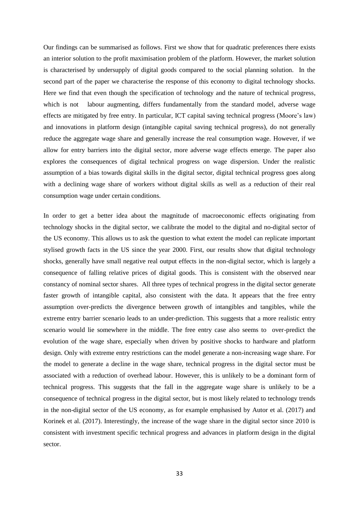Our findings can be summarised as follows. First we show that for quadratic preferences there exists an interior solution to the profit maximisation problem of the platform. However, the market solution is characterised by undersupply of digital goods compared to the social planning solution. In the second part of the paper we characterise the response of this economy to digital technology shocks. Here we find that even though the specification of technology and the nature of technical progress, which is not labour augmenting, differs fundamentally from the standard model, adverse wage effects are mitigated by free entry. In particular, ICT capital saving technical progress (Moore's law) and innovations in platform design (intangible capital saving technical progress), do not generally reduce the aggregate wage share and generally increase the real consumption wage. However, if we allow for entry barriers into the digital sector, more adverse wage effects emerge. The paper also explores the consequences of digital technical progress on wage dispersion. Under the realistic assumption of a bias towards digital skills in the digital sector, digital technical progress goes along with a declining wage share of workers without digital skills as well as a reduction of their real consumption wage under certain conditions.

In order to get a better idea about the magnitude of macroeconomic effects originating from technology shocks in the digital sector, we calibrate the model to the digital and no-digital sector of the US economy. This allows us to ask the question to what extent the model can replicate important stylised growth facts in the US since the year 2000. First, our results show that digital technology shocks, generally have small negative real output effects in the non-digital sector, which is largely a consequence of falling relative prices of digital goods. This is consistent with the observed near constancy of nominal sector shares. All three types of technical progress in the digital sector generate faster growth of intangible capital, also consistent with the data. It appears that the free entry assumption over-predicts the divergence between growth of intangibles and tangibles, while the extreme entry barrier scenario leads to an under-prediction. This suggests that a more realistic entry scenario would lie somewhere in the middle. The free entry case also seems to over-predict the evolution of the wage share, especially when driven by positive shocks to hardware and platform design. Only with extreme entry restrictions can the model generate a non-increasing wage share. For the model to generate a decline in the wage share, technical progress in the digital sector must be associated with a reduction of overhead labour. However, this is unlikely to be a dominant form of technical progress. This suggests that the fall in the aggregate wage share is unlikely to be a consequence of technical progress in the digital sector, but is most likely related to technology trends in the non-digital sector of the US economy, as for example emphasised by Autor et al. (2017) and Korinek et al. (2017). Interestingly, the increase of the wage share in the digital sector since 2010 is consistent with investment specific technical progress and advances in platform design in the digital sector.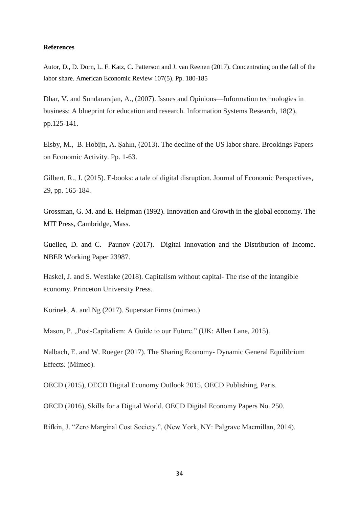### **References**

Autor, D., D. Dorn, L. F. Katz, C. Patterson and J. van Reenen (2017). Concentrating on the fall of the labor share. American Economic Review 107(5). Pp. 180-185

Dhar, V. and Sundararajan, A., (2007). Issues and Opinions—Information technologies in business: A blueprint for education and research. Information Systems Research, 18(2), pp.125-141.

Elsby, M., B. Hobijn, A. Şahin, (2013). The decline of the US labor share. Brookings Papers on Economic Activity. Pp. 1-63.

Gilbert, R., J. (2015). E-books: a tale of digital disruption. Journal of Economic Perspectives, 29, pp. 165-184.

Grossman, G. M. and E. Helpman (1992). Innovation and Growth in the global economy. The MIT Press, Cambridge, Mass.

Guellec, D. and C. Paunov (2017). Digital Innovation and the Distribution of Income. NBER Working Paper 23987.

Haskel, J. and S. Westlake (2018). Capitalism without capital- The rise of the intangible economy. Princeton University Press.

Korinek, A. and Ng (2017). Superstar Firms (mimeo.)

Mason, P. "Post-Capitalism: A Guide to our Future." (UK: Allen Lane, 2015).

Nalbach, E. and W. Roeger (2017). The Sharing Economy- Dynamic General Equilibrium Effects. (Mimeo).

OECD (2015), OECD Digital Economy Outlook 2015, OECD Publishing, Paris.

OECD (2016), Skills for a Digital World. OECD Digital Economy Papers No. 250.

Rifkin, J. "Zero Marginal Cost Society.", (New York, NY: Palgrave Macmillan, 2014).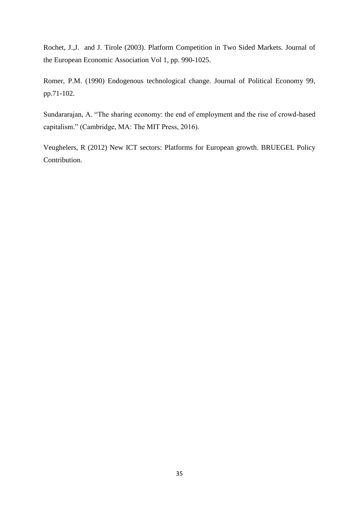Rochet, J.,J. and J. Tirole (2003). Platform Competition in Two Sided Markets. Journal of the European Economic Association Vol 1, pp. 990-1025.

Romer, P.M. (1990) Endogenous technological change. Journal of Political Economy 99, pp.71-102.

Sundararajan, A. "The sharing economy: the end of employment and the rise of crowd-based capitalism." (Cambridge, MA: The MIT Press, 2016).

Veughelers, R (2012) New ICT sectors: Platforms for European growth. BRUEGEL Policy Contribution.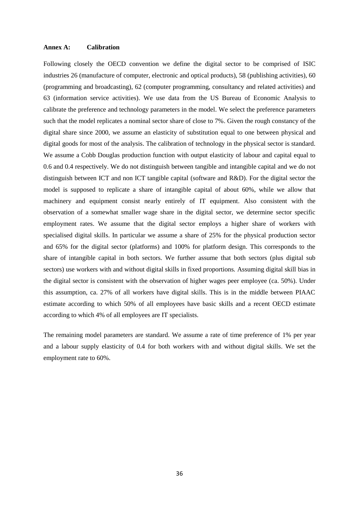### **Annex A: Calibration**

Following closely the OECD convention we define the digital sector to be comprised of ISIC industries 26 (manufacture of computer, electronic and optical products), 58 (publishing activities), 60 (programming and broadcasting), 62 (computer programming, consultancy and related activities) and 63 (information service activities). We use data from the US Bureau of Economic Analysis to calibrate the preference and technology parameters in the model. We select the preference parameters such that the model replicates a nominal sector share of close to 7%. Given the rough constancy of the digital share since 2000, we assume an elasticity of substitution equal to one between physical and digital goods for most of the analysis. The calibration of technology in the physical sector is standard. We assume a Cobb Douglas production function with output elasticity of labour and capital equal to 0.6 and 0.4 respectively. We do not distinguish between tangible and intangible capital and we do not distinguish between ICT and non ICT tangible capital (software and R&D). For the digital sector the model is supposed to replicate a share of intangible capital of about 60%, while we allow that machinery and equipment consist nearly entirely of IT equipment. Also consistent with the observation of a somewhat smaller wage share in the digital sector, we determine sector specific employment rates. We assume that the digital sector employs a higher share of workers with specialised digital skills. In particular we assume a share of 25% for the physical production sector and 65% for the digital sector (platforms) and 100% for platform design. This corresponds to the share of intangible capital in both sectors. We further assume that both sectors (plus digital sub sectors) use workers with and without digital skills in fixed proportions. Assuming digital skill bias in the digital sector is consistent with the observation of higher wages peer employee (ca. 50%). Under this assumption, ca. 27% of all workers have digital skills. This is in the middle between PIAAC estimate according to which 50% of all employees have basic skills and a recent OECD estimate according to which 4% of all employees are IT specialists.

The remaining model parameters are standard. We assume a rate of time preference of 1% per year and a labour supply elasticity of 0.4 for both workers with and without digital skills. We set the employment rate to 60%.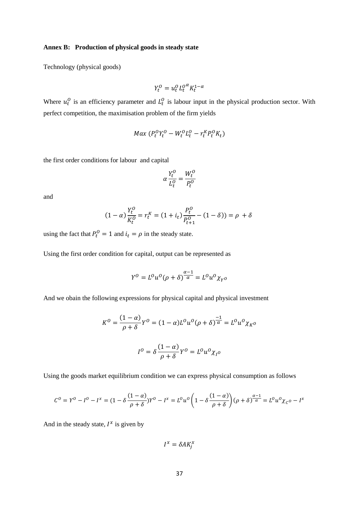### **Annex B: Production of physical goods in steady state**

Technology (physical goods)

$$
Y_t^0 = u_t^0 L_t^{0\alpha} K_t^{1-\alpha}
$$

Where  $u_t^0$  is an efficiency parameter and  $L_t^0$  is labour input in the physical production sector. With perfect competition, the maximisation problem of the firm yields

$$
Max(P_t^O Y_t^O - W_t^O L_t^O - r_t^K P_t^O K_t)
$$

the first order conditions for labour and capital

$$
\alpha \frac{Y_t^O}{L_t^O} = \frac{W_t^O}{P_t^O}
$$

and

$$
(1 - \alpha) \frac{Y_t^0}{K_t^0} = r_t^K = (1 + i_t) \frac{P_t^0}{P_{t+1}^0} - (1 - \delta)) = \rho + \delta
$$

using the fact that  $P_t^0 = 1$  and  $i_t = \rho$  in the steady state.

Using the first order condition for capital, output can be represented as

$$
Y^0 = L^0 u^0 (\rho + \delta)^{\frac{\alpha - 1}{\alpha}} = L^0 u^0 \chi_{Y^0}
$$

And we obain the following expressions for physical capital and physical investment

$$
K^{O} = \frac{(1-\alpha)}{\rho+\delta}Y^{O} = (1-\alpha)L^{O}u^{O}(\rho+\delta)^{\frac{-1}{\alpha}} = L^{O}u^{O}\chi_{K^{O}}
$$

$$
I^{O} = \delta\frac{(1-\alpha)}{\rho+\delta}Y^{O} = L^{O}u^{O}\chi_{I^{O}}
$$

Using the goods market equilibrium condition we can express physical consumption as follows

$$
C^{0} = Y^{0} - I^{0} - I^{x} = (1 - \delta \frac{(1 - \alpha)}{\rho + \delta})Y^{0} - I^{x} = L^{0}u^{0}\left(1 - \delta \frac{(1 - \alpha)}{\rho + \delta}\right)(\rho + \delta)^{\frac{\alpha - 1}{\alpha}} = L^{0}u^{0}\chi_{C^{0}} - I^{x}
$$

And in the steady state,  $I^x$  is given by

$$
I^x = \delta A K_j^x
$$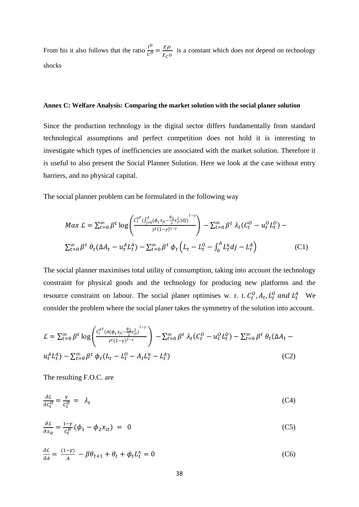From his it also follows that the ratio  $\frac{l^o}{c^o} = \frac{\chi_l o}{\chi_c}$  $\frac{\lambda p}{\lambda c}$  is a constant which does not depend on technology shocks

# **Annex C: Welfare Analysis: Comparing the market solution with the social planer solution**

Since the production technology in the digital sector differs fundamentally from standard technological assumptions and perfect competition does not hold it is interesting to investigate which types of inefficiencies are associated with the market solution. Therefore it is useful to also present the Social Planner Solution. Here we look at the case without entry barriers, and no physical capital.

The social planner problem can be formulated in the following way

$$
Max \mathcal{L} = \sum_{t=0}^{\infty} \beta^t \log \left( \frac{c_t^{0^{\gamma}} ( \int_{j=0}^A (\phi_1 x_{jt} - \frac{\phi_2}{2} x_{jt}^2) dy)^{1-\gamma}}{\gamma^{\gamma} (1-\gamma)^{1-\gamma}} \right) - \sum_{t=0}^{\infty} \beta^t \lambda_t (C_t^0 - u_t^0 L_t^0) - \sum_{t=0}^{\infty} \beta^t \theta_t (\Delta A_t - u_t^A L_t^A) - \sum_{t=0}^{\infty} \beta^t \phi_t (L_t - L_t^0 - \int_0^A L_t^u dy - L_t^A)
$$
 (C1)

The social planner maximises total utility of consumption, taking into account the technology constraint for physical goods and the technology for producing new platforms and the resource constraint on labour. The social planer optimises w. r. t.  $C_t^0$ ,  $A_t$ ,  $L_t^0$  and  $L_t^A$  We consider the problem where the social planer takes the symmetry of the solution into account.

$$
\mathcal{L} = \sum_{t=0}^{\infty} \beta^t \log \left( \frac{c_t^{\rho \nu} (A(\phi_1 x_{jt} - \frac{\phi_2}{2} x_{jt}^2)^{1-\gamma}}{r^{\nu} (1-\gamma)^{1-\gamma}} \right) - \sum_{t=0}^{\infty} \beta^t \lambda_t (C_t^{\rho} - u_t^{\rho} L_t^{\rho}) - \sum_{t=0}^{\infty} \beta^t \theta_t (\Delta A_t - u_t^A L_t^A) - \sum_{t=0}^{\infty} \beta^t \phi_t (L_t - L_t^{\rho} - A_t L_t^{\mu} - L_t^A)
$$
\n(C2)

The resulting F.O.C. are

$$
\frac{\partial \mathcal{L}}{\partial c_t^0} = \frac{\gamma}{c_t^0} = \lambda_t \tag{C4}
$$

$$
\frac{\partial \mathcal{L}}{\partial x_{it}} = \frac{1 - \gamma}{c_t^D} (\phi_1 - \phi_2 x_{it}) = 0
$$
 (C5)

$$
\frac{\partial \mathcal{L}}{\partial A} = \frac{(1-\gamma)}{A} - \beta \theta_{t+1} + \theta_t + \phi_t L_t^x = 0
$$
\n(C6)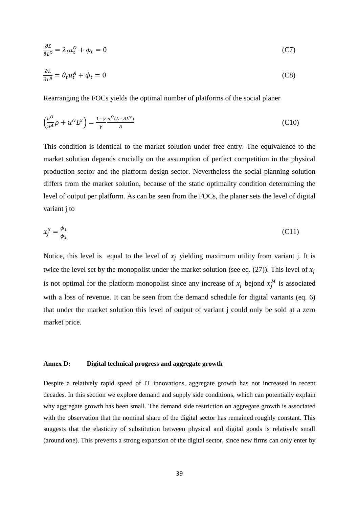$$
\frac{\partial \mathcal{L}}{\partial L^0} = \lambda_t u_t^0 + \phi_t = 0 \tag{C7}
$$

$$
\frac{\partial \mathcal{L}}{\partial L^A} = \theta_t u_t^A + \phi_t = 0 \tag{C8}
$$

Rearranging the FOCs yields the optimal number of platforms of the social planer

$$
\left(\frac{u^0}{u^A}\rho + u^0 L^x\right) = \frac{1-\gamma}{\gamma} \frac{u^0 (L - AL^x)}{A}
$$
\n(C10)

This condition is identical to the market solution under free entry. The equivalence to the market solution depends crucially on the assumption of perfect competition in the physical production sector and the platform design sector. Nevertheless the social planning solution differs from the market solution, because of the static optimality condition determining the level of output per platform. As can be seen from the FOCs, the planer sets the level of digital variant j to

$$
x_j^S = \frac{\phi_1}{\phi_2} \tag{C11}
$$

Notice, this level is equal to the level of  $x_i$  yielding maximum utility from variant j. It is twice the level set by the monopolist under the market solution (see eq. (27)). This level of  $x_i$ is not optimal for the platform monopolist since any increase of  $x_j$  bejond  $x_j^M$  is associated with a loss of revenue. It can be seen from the demand schedule for digital variants (eq. 6) that under the market solution this level of output of variant j could only be sold at a zero market price.

### **Annex D: Digital technical progress and aggregate growth**

Despite a relatively rapid speed of IT innovations, aggregate growth has not increased in recent decades. In this section we explore demand and supply side conditions, which can potentially explain why aggregate growth has been small. The demand side restriction on aggregate growth is associated with the observation that the nominal share of the digital sector has remained roughly constant. This suggests that the elasticity of substitution between physical and digital goods is relatively small (around one). This prevents a strong expansion of the digital sector, since new firms can only enter by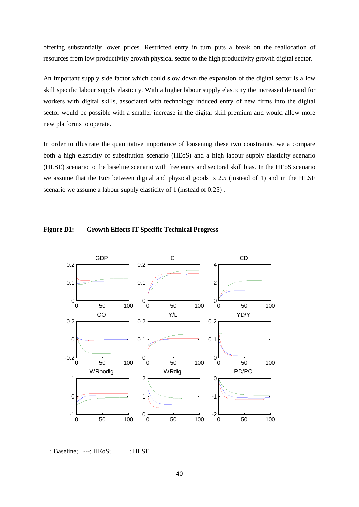offering substantially lower prices. Restricted entry in turn puts a break on the reallocation of resources from low productivity growth physical sector to the high productivity growth digital sector.

An important supply side factor which could slow down the expansion of the digital sector is a low skill specific labour supply elasticity. With a higher labour supply elasticity the increased demand for workers with digital skills, associated with technology induced entry of new firms into the digital sector would be possible with a smaller increase in the digital skill premium and would allow more new platforms to operate.

In order to illustrate the quantitative importance of loosening these two constraints, we a compare both a high elasticity of substitution scenario (HEoS) and a high labour supply elasticity scenario (HLSE) scenario to the baseline scenario with free entry and sectoral skill bias. In the HEoS scenario we assume that the EoS between digital and physical goods is 2.5 (instead of 1) and in the HLSE scenario we assume a labour supply elasticity of 1 (instead of 0.25) .





\_\_: Baseline; ---: HEoS; \_\_\_\_: HLSE